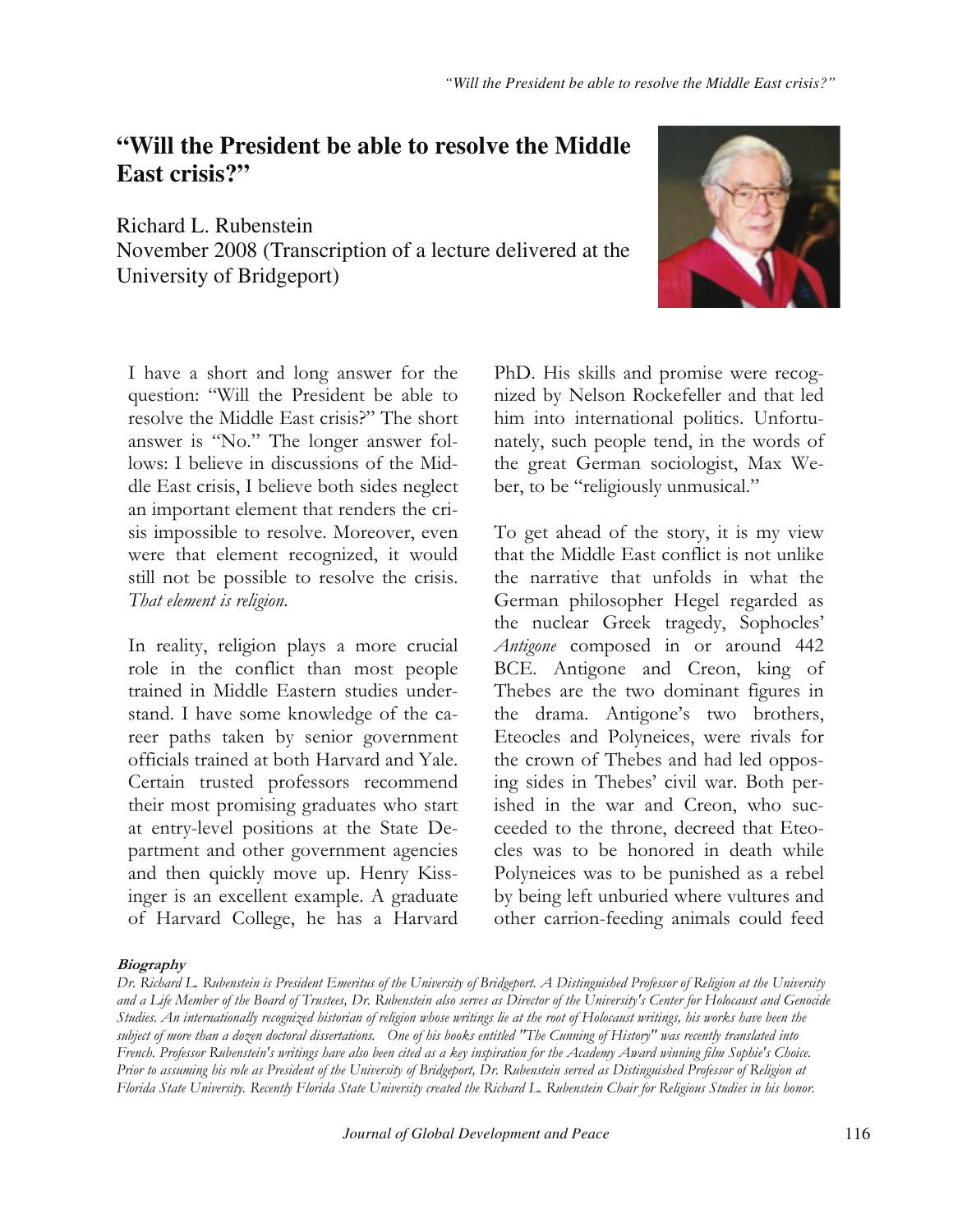## "Will the President be able to resolve the Middle East crisis?"

Richard L. Rubenstein November 2008 (Transcription of a lecture delivered at the University of Bridgeport)



I have a short and long answer for the question: "Will the President be able to resolve the Middle East crisis?" The short answer is "No." The longer answer follows: I believe in discussions of the Middle East crisis, I believe both sides neglect an important element that renders the crisis impossible to resolve. Moreover, even were that element recognized, it would still not be possible to resolve the crisis. That element is religion.

In reality, religion plays a more crucial role in the conflict than most people trained in Middle Eastern studies understand. I have some knowledge of the career paths taken by senior government officials trained at both Harvard and Yale. Certain trusted professors recommend their most promising graduates who start at entry-level positions at the State Department and other government agencies and then quickly move up. Henry Kissinger is an excellent example. A graduate of Harvard College, he has a Harvard

PhD. His skills and promise were recognized by Nelson Rockefeller and that led him into international politics. Unfortunately, such people tend, in the words of the great German sociologist, Max Weber, to be "religiously unmusical."

To get ahead of the story, it is my view that the Middle East conflict is not unlike the narrative that unfolds in what the German philosopher Hegel regarded as the nuclear Greek tragedy, Sophocles' Antigone composed in or around 442 BCE. Antigone and Creon, king of Thebes are the two dominant figures in the drama. Antigone's two brothers, Eteocles and Polyneices, were rivals for the crown of Thebes and had led opposing sides in Thebes' civil war. Both perished in the war and Creon, who succeeded to the throne, decreed that Eteocles was to be honored in death while Polyneices was to be punished as a rebel by being left unburied where vultures and other carrion-feeding animals could feed

## **Biography**

Dr. Richard L. Rubenstein is President Emeritus of the University of Bridgeport. A Distinguished Professor of Religion at the University and a Life Member of the Board of Trustees, Dr. Rubenstein also serves as Director of the University's Center for Holocaust and Genocide Studies. An internationally recognized historian of religion whose writings lie at the root of Holocaust writings, his works have been the subject of more than a dozen doctoral dissertations. One of his books entitled "The Cunning of History" was recently translated into French. Professor Rubenstein's writings have also been cited as a key inspiration for the Academy Award winning film Sophie's Choice. Prior to assuming his role as President of the University of Bridgeport, Dr. Rubenstein served as Distinguished Professor of Religion at Florida State University. Recently Florida State University created the Richard L. Rubenstein Chair for Religious Studies in his honor.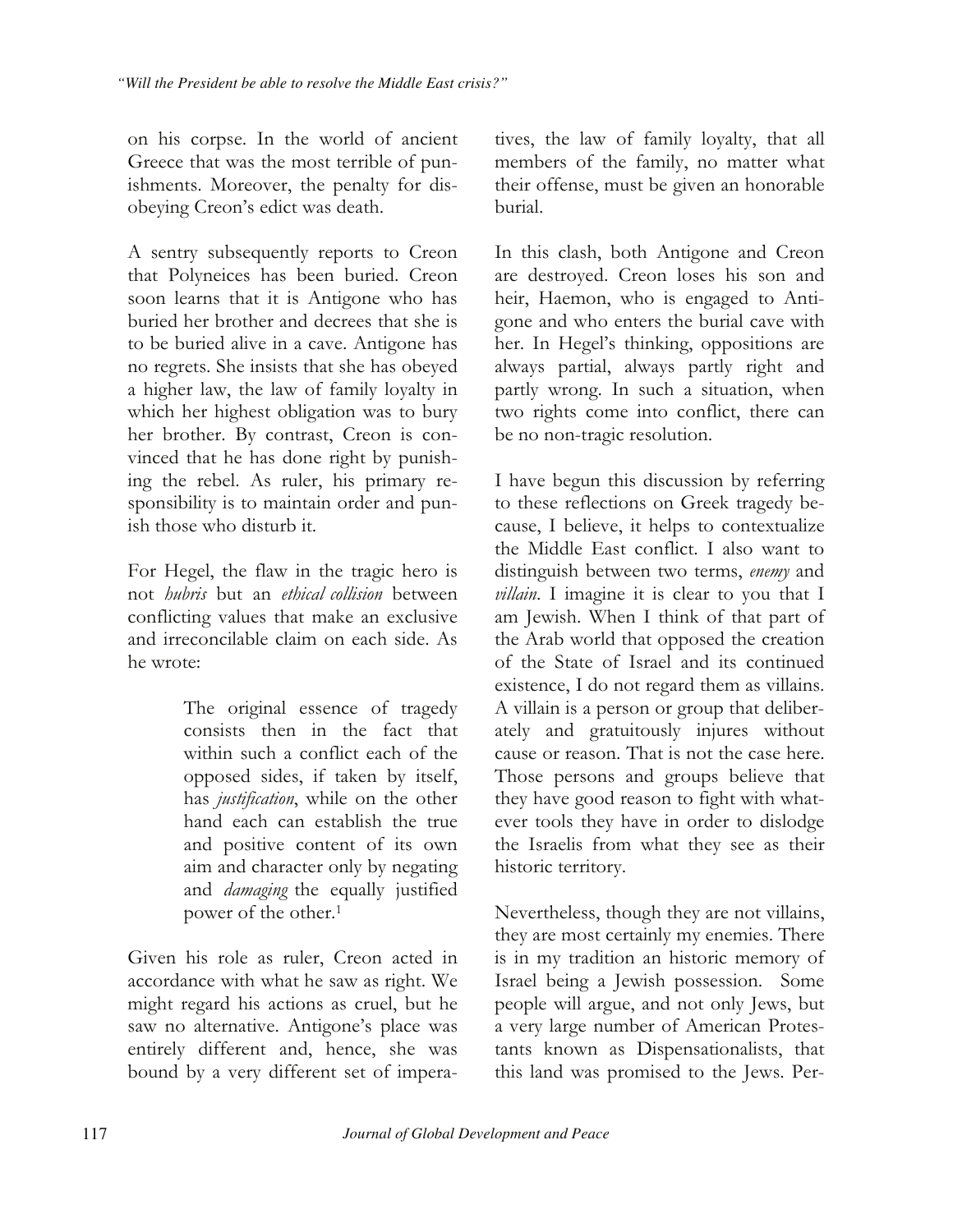on his corpse. In the world of ancient Greece that was the most terrible of punishments. Moreover, the penalty for disobeying Creon's edict was death.

A sentry subsequently reports to Creon that Polyneices has been buried. Creon soon learns that it is Antigone who has buried her brother and decrees that she is to be buried alive in a cave. Antigone has no regrets. She insists that she has obeyed a higher law, the law of family loyalty in which her highest obligation was to bury her brother. By contrast, Creon is convinced that he has done right by punishing the rebel. As ruler, his primary responsibility is to maintain order and punish those who disturb it.

For Hegel, the flaw in the tragic hero is not *hubris* but an *ethical collision* between conflicting values that make an exclusive and irreconcilable claim on each side. As he wrote:

> The original essence of tragedy consists then in the fact that within such a conflict each of the opposed sides, if taken by itself, has *justification*, while on the other hand each can establish the true and positive content of its own aim and character only by negating and *damaging* the equally justified power of the other.<sup>1</sup>

Given his role as ruler, Creon acted in accordance with what he saw as right. We might regard his actions as cruel, but he saw no alternative. Antigone's place was entirely different and, hence, she was bound by a very different set of imperatives, the law of family loyalty, that all members of the family, no matter what their offense, must be given an honorable burial.

In this clash, both Antigone and Creon are destroyed. Creon loses his son and heir, Haemon, who is engaged to Antigone and who enters the burial cave with her. In Hegel's thinking, oppositions are always partial, always partly right and partly wrong. In such a situation, when two rights come into conflict, there can be no non-tragic resolution.

I have begun this discussion by referring to these reflections on Greek tragedy because, I believe, it helps to contextualize the Middle East conflict. I also want to distinguish between two terms, enemy and villain. I imagine it is clear to you that I am Jewish. When I think of that part of the Arab world that opposed the creation of the State of Israel and its continued existence, I do not regard them as villains. A villain is a person or group that deliberately and gratuitously injures without cause or reason. That is not the case here. Those persons and groups believe that they have good reason to fight with whatever tools they have in order to dislodge the Israelis from what they see as their historic territory.

Nevertheless, though they are not villains, they are most certainly my enemies. There is in my tradition an historic memory of Israel being a Jewish possession. Some people will argue, and not only Jews, but a very large number of American Protestants known as Dispensationalists, that this land was promised to the Jews. Per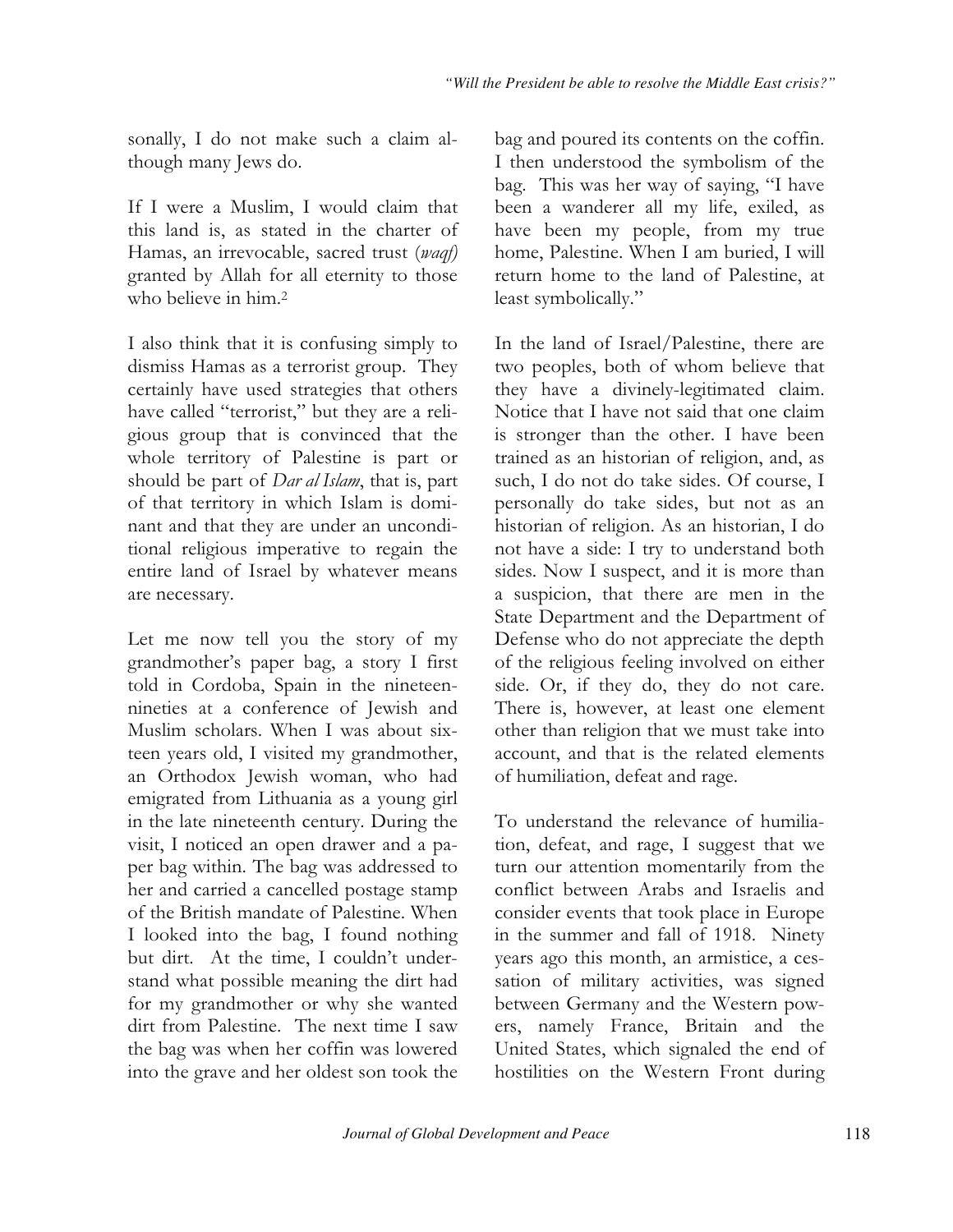sonally, I do not make such a claim although many Jews do.

If I were a Muslim, I would claim that this land is, as stated in the charter of Hamas, an irrevocable, sacred trust (waqf) granted by Allah for all eternity to those who believe in him.<sup>2</sup>

I also think that it is confusing simply to dismiss Hamas as a terrorist group. They certainly have used strategies that others have called "terrorist," but they are a religious group that is convinced that the whole territory of Palestine is part or should be part of *Dar al Islam*, that is, part of that territory in which Islam is dominant and that they are under an unconditional religious imperative to regain the entire land of Israel by whatever means are necessary.

Let me now tell you the story of my grandmother's paper bag, a story I first told in Cordoba, Spain in the nineteennineties at a conference of Jewish and Muslim scholars. When I was about sixteen years old, I visited my grandmother, an Orthodox Jewish woman, who had emigrated from Lithuania as a young girl in the late nineteenth century. During the visit, I noticed an open drawer and a paper bag within. The bag was addressed to her and carried a cancelled postage stamp of the British mandate of Palestine. When I looked into the bag, I found nothing but dirt. At the time, I couldn't understand what possible meaning the dirt had for my grandmother or why she wanted dirt from Palestine. The next time I saw the bag was when her coffin was lowered into the grave and her oldest son took the

bag and poured its contents on the coffin. I then understood the symbolism of the bag. This was her way of saying, "I have been a wanderer all my life, exiled, as have been my people, from my true home, Palestine. When I am buried, I will return home to the land of Palestine, at least symbolically."

In the land of Israel/Palestine, there are two peoples, both of whom believe that they have a divinely-legitimated claim. Notice that I have not said that one claim is stronger than the other. I have been trained as an historian of religion, and, as such, I do not do take sides. Of course, I personally do take sides, but not as an historian of religion. As an historian, I do not have a side: I try to understand both sides. Now I suspect, and it is more than a suspicion, that there are men in the State Department and the Department of Defense who do not appreciate the depth of the religious feeling involved on either side. Or, if they do, they do not care. There is, however, at least one element other than religion that we must take into account, and that is the related elements of humiliation, defeat and rage.

To understand the relevance of humiliation, defeat, and rage, I suggest that we turn our attention momentarily from the conflict between Arabs and Israelis and consider events that took place in Europe in the summer and fall of 1918. Ninety years ago this month, an armistice, a cessation of military activities, was signed between Germany and the Western powers, namely France, Britain and the United States, which signaled the end of hostilities on the Western Front during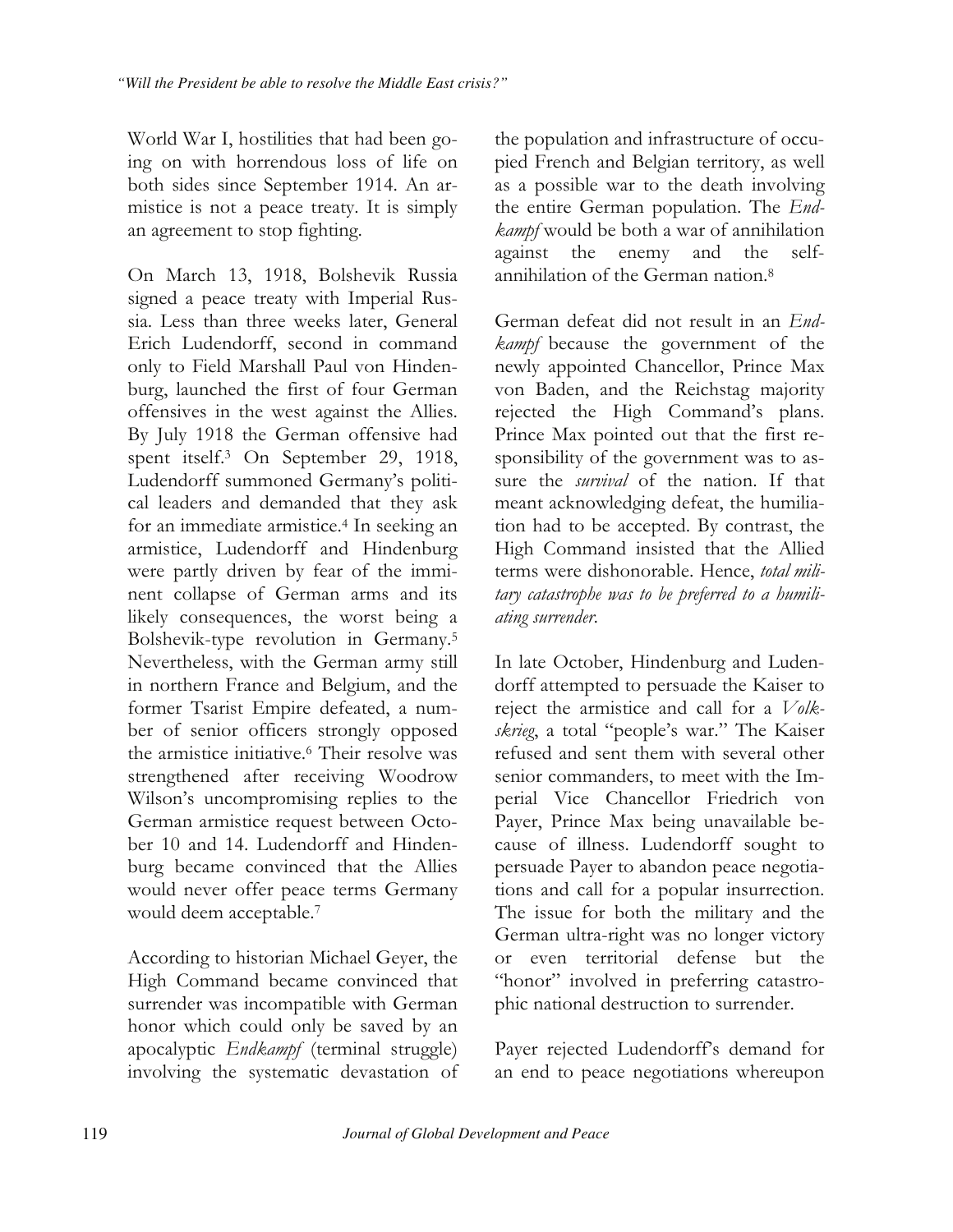World War I, hostilities that had been going on with horrendous loss of life on both sides since September 1914. An armistice is not a peace treaty. It is simply an agreement to stop fighting.

On March 13, 1918, Bolshevik Russia signed a peace treaty with Imperial Russia. Less than three weeks later, General Erich Ludendorff, second in command only to Field Marshall Paul von Hindenburg, launched the first of four German offensives in the west against the Allies. By July 1918 the German offensive had spent itself.<sup>3</sup> On September 29, 1918, Ludendorff summoned Germany's political leaders and demanded that they ask for an immediate armistice.<sup>4</sup> In seeking an armistice, Ludendorff and Hindenburg were partly driven by fear of the imminent collapse of German arms and its likely consequences, the worst being a Bolshevik-type revolution in Germany.<sup>5</sup> Nevertheless, with the German army still in northern France and Belgium, and the former Tsarist Empire defeated, a number of senior officers strongly opposed the armistice initiative.<sup>6</sup> Their resolve was strengthened after receiving Woodrow Wilson's uncompromising replies to the German armistice request between October 10 and 14. Ludendorff and Hindenburg became convinced that the Allies would never offer peace terms Germany would deem acceptable.<sup>7</sup>

According to historian Michael Geyer, the High Command became convinced that surrender was incompatible with German honor which could only be saved by an apocalyptic Endkampf (terminal struggle) involving the systematic devastation of

the population and infrastructure of occupied French and Belgian territory, as well as a possible war to the death involving the entire German population. The Endkampf would be both a war of annihilation against the enemy and the selfannihilation of the German nation.<sup>8</sup>

German defeat did not result in an *End*kampf because the government of the newly appointed Chancellor, Prince Max von Baden, and the Reichstag majority rejected the High Command's plans. Prince Max pointed out that the first responsibility of the government was to assure the *survival* of the nation. If that meant acknowledging defeat, the humiliation had to be accepted. By contrast, the High Command insisted that the Allied terms were dishonorable. Hence, total military catastrophe was to be preferred to a humiliating surrender.

In late October, Hindenburg and Ludendorff attempted to persuade the Kaiser to reject the armistice and call for a Volkskrieg, a total "people's war." The Kaiser refused and sent them with several other senior commanders, to meet with the Imperial Vice Chancellor Friedrich von Payer, Prince Max being unavailable because of illness. Ludendorff sought to persuade Payer to abandon peace negotiations and call for a popular insurrection. The issue for both the military and the German ultra-right was no longer victory or even territorial defense but the "honor" involved in preferring catastrophic national destruction to surrender.

Payer rejected Ludendorff's demand for an end to peace negotiations whereupon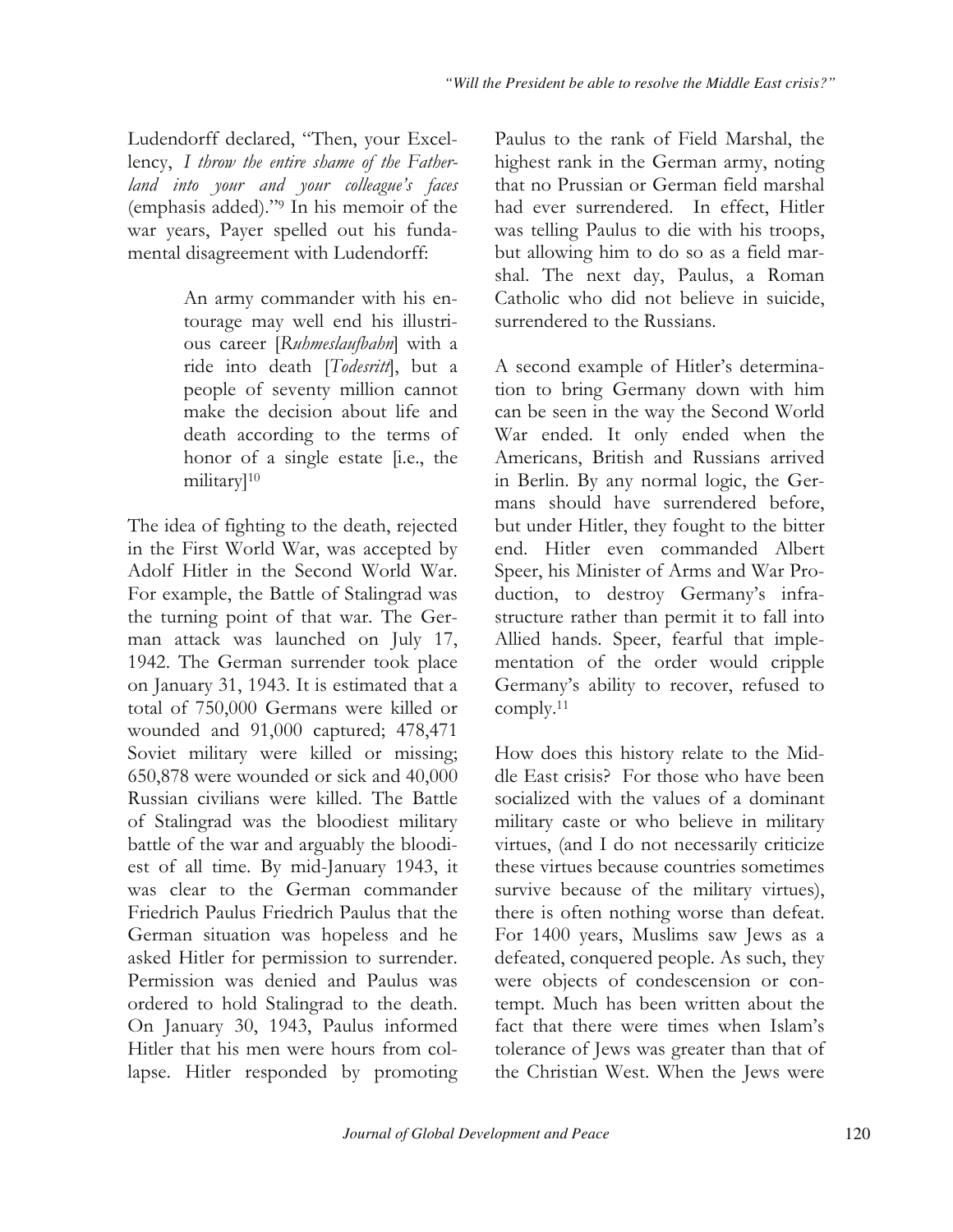Ludendorff declared, "Then, your Excellency, I throw the entire shame of the Fatherland into your and your colleague's faces (emphasis added)."<sup>9</sup> In his memoir of the war years, Payer spelled out his fundamental disagreement with Ludendorff:

> An army commander with his entourage may well end his illustrious career [Ruhmeslaufbahn] with a ride into death [Todesritt], but a people of seventy million cannot make the decision about life and death according to the terms of honor of a single estate [i.e., the military<sup>10</sup>

The idea of fighting to the death, rejected in the First World War, was accepted by Adolf Hitler in the Second World War. For example, the Battle of Stalingrad was the turning point of that war. The German attack was launched on July 17, 1942. The German surrender took place on January 31, 1943. It is estimated that a total of 750,000 Germans were killed or wounded and 91,000 captured; 478,471 Soviet military were killed or missing; 650,878 were wounded or sick and 40,000 Russian civilians were killed. The Battle of Stalingrad was the bloodiest military battle of the war and arguably the bloodiest of all time. By mid-January 1943, it was clear to the German commander Friedrich Paulus Friedrich Paulus that the German situation was hopeless and he asked Hitler for permission to surrender. Permission was denied and Paulus was ordered to hold Stalingrad to the death. On January 30, 1943, Paulus informed Hitler that his men were hours from collapse. Hitler responded by promoting

Paulus to the rank of Field Marshal, the highest rank in the German army, noting that no Prussian or German field marshal had ever surrendered. In effect, Hitler was telling Paulus to die with his troops, but allowing him to do so as a field marshal. The next day, Paulus, a Roman Catholic who did not believe in suicide, surrendered to the Russians.

A second example of Hitler's determination to bring Germany down with him can be seen in the way the Second World War ended. It only ended when the Americans, British and Russians arrived in Berlin. By any normal logic, the Germans should have surrendered before, but under Hitler, they fought to the bitter end. Hitler even commanded Albert Speer, his Minister of Arms and War Production, to destroy Germany's infrastructure rather than permit it to fall into Allied hands. Speer, fearful that implementation of the order would cripple Germany's ability to recover, refused to comply. $11$ 

How does this history relate to the Middle East crisis? For those who have been socialized with the values of a dominant military caste or who believe in military virtues, (and I do not necessarily criticize) these virtues because countries sometimes survive because of the military virtues), there is often nothing worse than defeat. For 1400 years, Muslims saw Jews as a defeated, conquered people. As such, they were objects of condescension or contempt. Much has been written about the fact that there were times when Islam's tolerance of Jews was greater than that of the Christian West. When the Jews were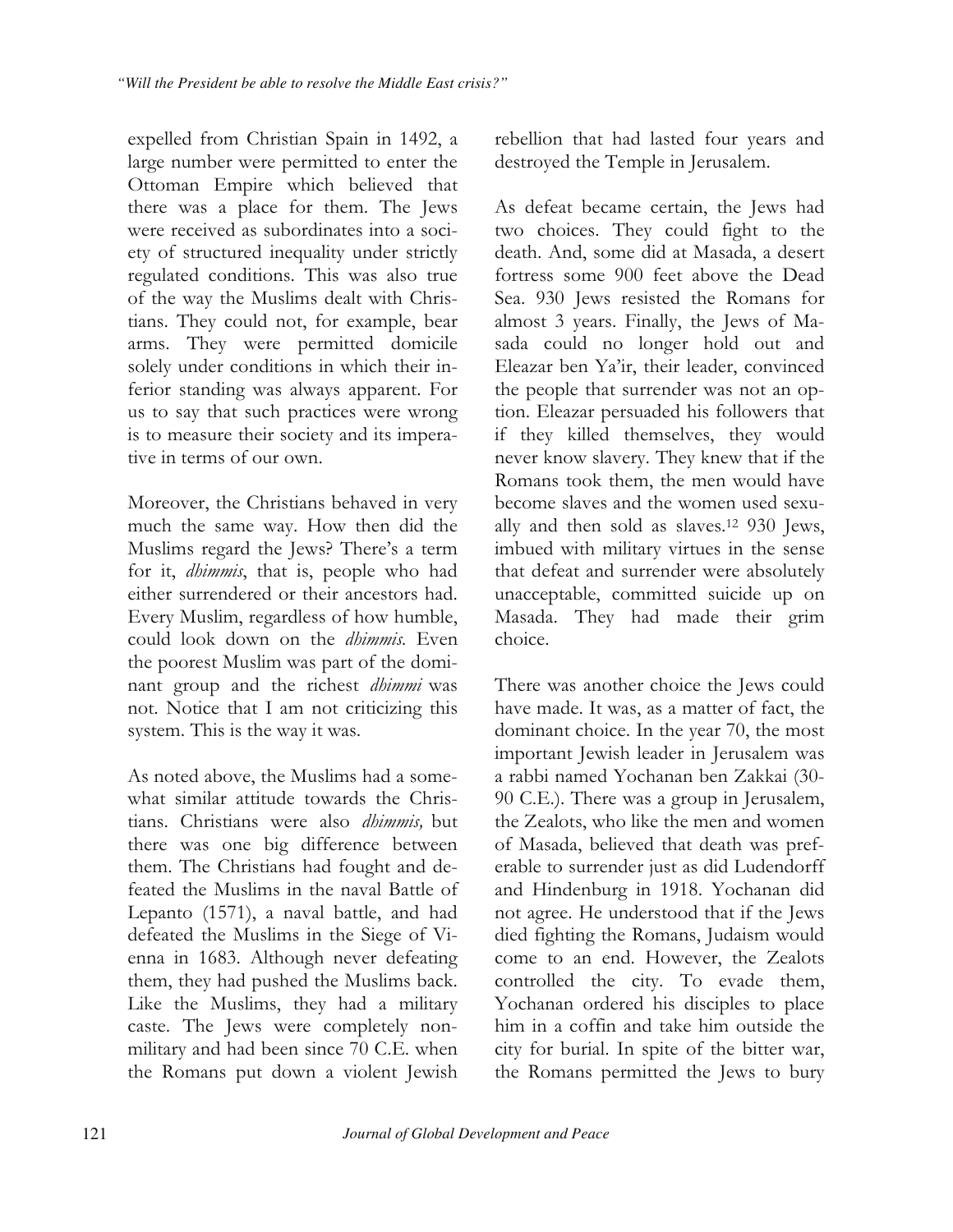expelled from Christian Spain in 1492, a large number were permitted to enter the Ottoman Empire which believed that there was a place for them. The Jews were received as subordinates into a society of structured inequality under strictly regulated conditions. This was also true of the way the Muslims dealt with Christians. They could not, for example, bear arms. They were permitted domicile solely under conditions in which their inferior standing was always apparent. For us to say that such practices were wrong is to measure their society and its imperative in terms of our own.

Moreover, the Christians behaved in very much the same way. How then did the Muslims regard the Jews? There's a term for it, dhimmis, that is, people who had either surrendered or their ancestors had. Every Muslim, regardless of how humble, could look down on the dhimmis. Even the poorest Muslim was part of the dominant group and the richest *dhimmi* was not. Notice that I am not criticizing this system. This is the way it was.

As noted above, the Muslims had a somewhat similar attitude towards the Christians. Christians were also dhimmis, but there was one big difference between them. The Christians had fought and defeated the Muslims in the naval Battle of Lepanto (1571), a naval battle, and had defeated the Muslims in the Siege of Vienna in 1683. Although never defeating them, they had pushed the Muslims back. Like the Muslims, they had a military caste. The Jews were completely nonmilitary and had been since 70 C.E. when the Romans put down a violent Jewish rebellion that had lasted four years and destroyed the Temple in Jerusalem.

As defeat became certain, the Jews had two choices. They could fight to the death. And, some did at Masada, a desert fortress some 900 feet above the Dead Sea. 930 Jews resisted the Romans for almost 3 years. Finally, the Jews of Masada could no longer hold out and Eleazar ben Ya'ir, their leader, convinced the people that surrender was not an option. Eleazar persuaded his followers that if they killed themselves, they would never know slavery. They knew that if the Romans took them, the men would have become slaves and the women used sexually and then sold as slaves.<sup>12</sup> 930 Jews, imbued with military virtues in the sense that defeat and surrender were absolutely unacceptable, committed suicide up on Masada. They had made their grim choice.

There was another choice the Jews could have made. It was, as a matter of fact, the dominant choice. In the year 70, the most important Jewish leader in Jerusalem was a rabbi named Yochanan ben Zakkai (30-90 C.E.). There was a group in Jerusalem, the Zealots, who like the men and women of Masada, believed that death was preferable to surrender just as did Ludendorff and Hindenburg in 1918. Yochanan did not agree. He understood that if the Jews died fighting the Romans, Judaism would come to an end. However, the Zealots controlled the city. To evade them, Yochanan ordered his disciples to place him in a coffin and take him outside the city for burial. In spite of the bitter war, the Romans permitted the Jews to bury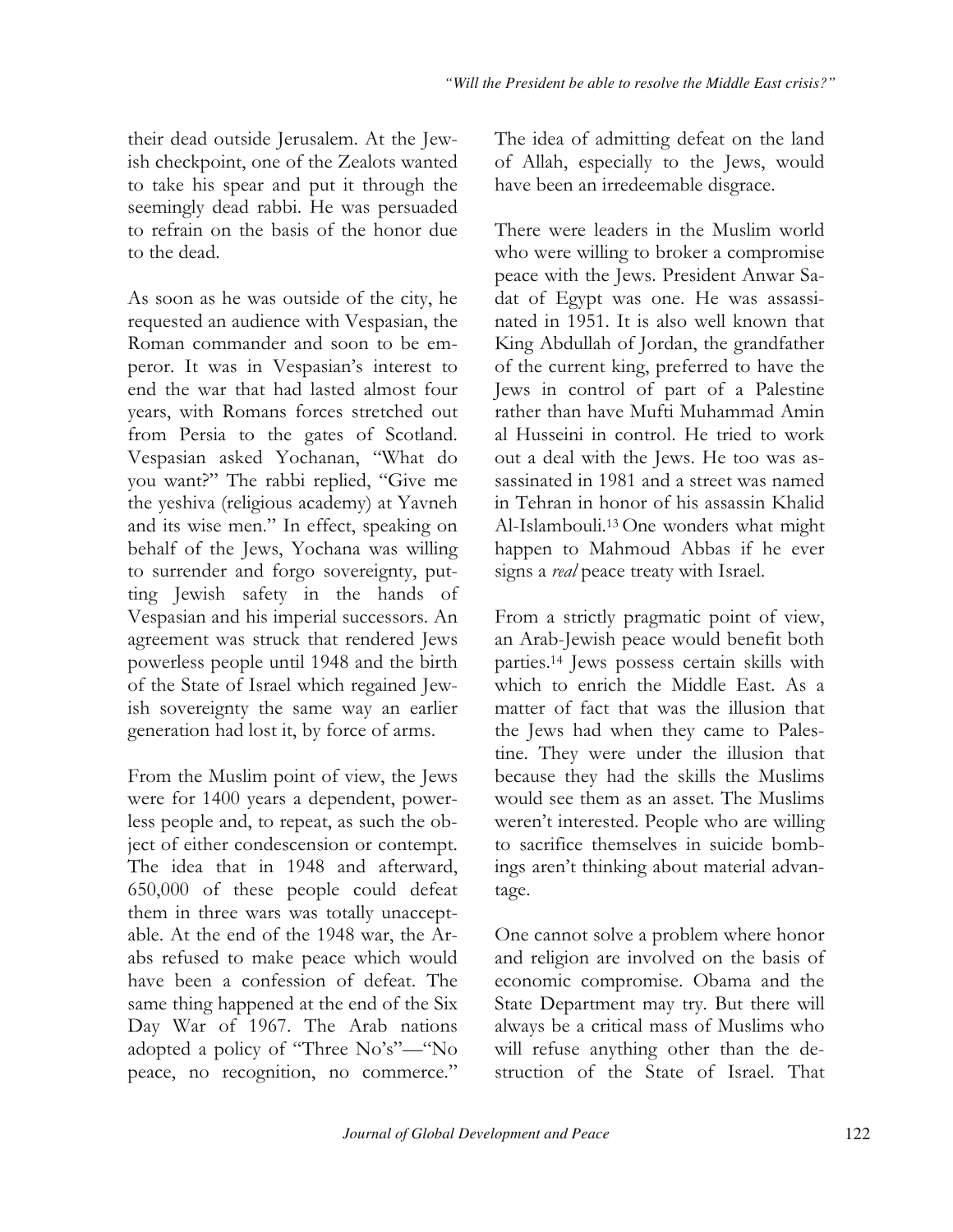their dead outside Jerusalem. At the Jewish checkpoint, one of the Zealots wanted to take his spear and put it through the seemingly dead rabbi. He was persuaded to refrain on the basis of the honor due to the dead.

As soon as he was outside of the city, he requested an audience with Vespasian, the Roman commander and soon to be emperor. It was in Vespasian's interest to end the war that had lasted almost four years, with Romans forces stretched out from Persia to the gates of Scotland. Vespasian asked Yochanan, "What do you want?" The rabbi replied, "Give me the yeshiva (religious academy) at Yavneh and its wise men." In effect, speaking on behalf of the Jews, Yochana was willing to surrender and forgo sovereignty, putting Jewish safety in the hands of Vespasian and his imperial successors. An agreement was struck that rendered Jews powerless people until 1948 and the birth of the State of Israel which regained Jewish sovereignty the same way an earlier generation had lost it, by force of arms.

From the Muslim point of view, the Jews were for 1400 years a dependent, powerless people and, to repeat, as such the object of either condescension or contempt. The idea that in 1948 and afterward, 650,000 of these people could defeat them in three wars was totally unacceptable. At the end of the 1948 war, the Arabs refused to make peace which would have been a confession of defeat. The same thing happened at the end of the Six Day War of 1967. The Arab nations adopted a policy of "Three No's"-"No peace, no recognition, no commerce."

The idea of admitting defeat on the land of Allah, especially to the Jews, would have been an irredeemable disgrace.

There were leaders in the Muslim world who were willing to broker a compromise peace with the Jews. President Anwar Sadat of Egypt was one. He was assassinated in 1951. It is also well known that King Abdullah of Jordan, the grandfather of the current king, preferred to have the Jews in control of part of a Palestine rather than have Mufti Muhammad Amin al Husseini in control. He tried to work out a deal with the Jews. He too was assassinated in 1981 and a street was named in Tehran in honor of his assassin Khalid Al-Islambouli.<sup>13</sup> One wonders what might happen to Mahmoud Abbas if he ever signs a *real* peace treaty with Israel.

From a strictly pragmatic point of view, an Arab-Jewish peace would benefit both parties.<sup>14</sup> Jews possess certain skills with which to enrich the Middle East. As a matter of fact that was the illusion that the Jews had when they came to Palestine. They were under the illusion that because they had the skills the Muslims would see them as an asset. The Muslims weren't interested. People who are willing to sacrifice themselves in suicide bombings aren't thinking about material advantage.

One cannot solve a problem where honor and religion are involved on the basis of economic compromise. Obama and the State Department may try. But there will always be a critical mass of Muslims who will refuse anything other than the destruction of the State of Israel. That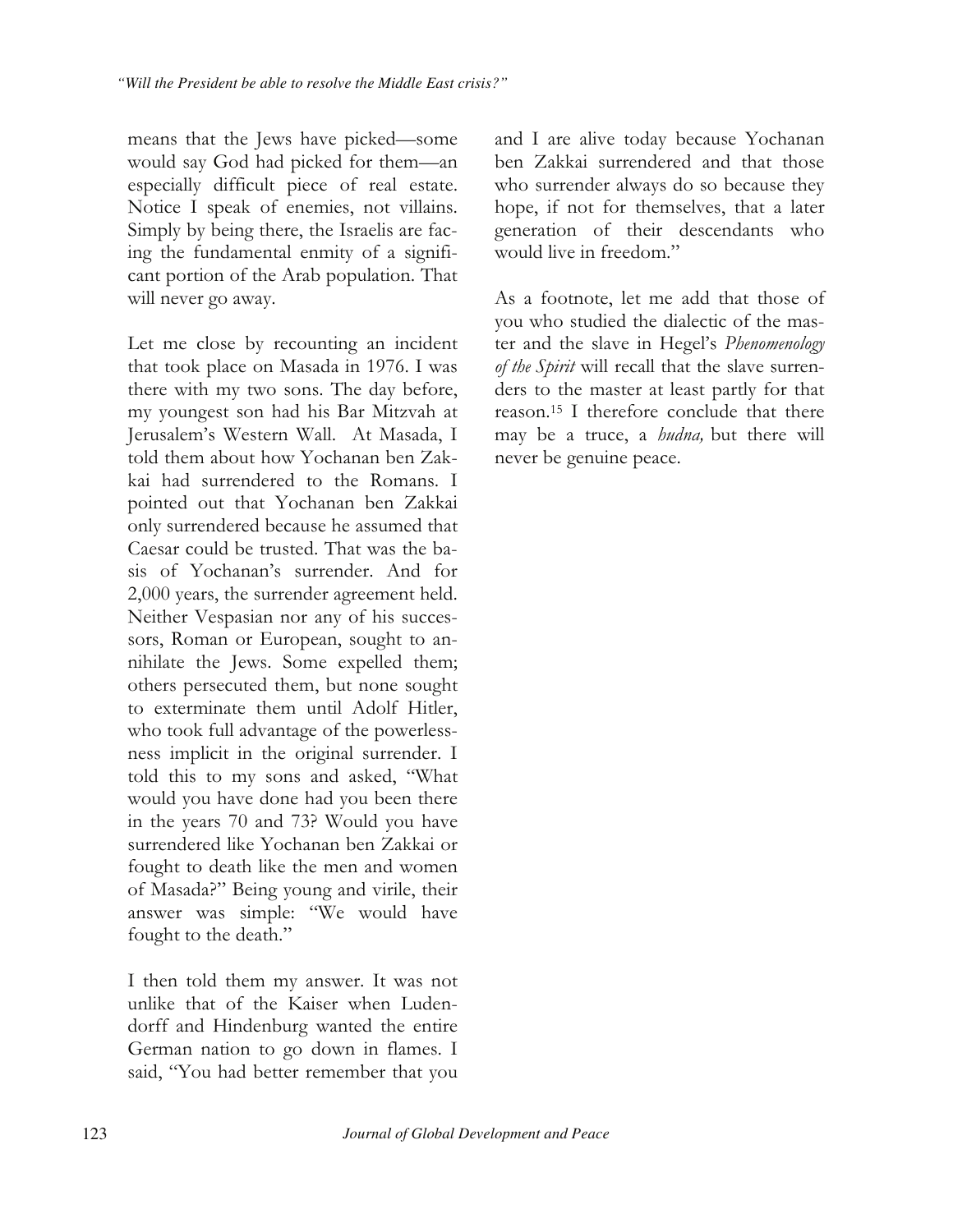means that the Jews have picked—some would say God had picked for them-an especially difficult piece of real estate. Notice I speak of enemies, not villains. Simply by being there, the Israelis are facing the fundamental enmity of a significant portion of the Arab population. That will never go away.

Let me close by recounting an incident that took place on Masada in 1976. I was there with my two sons. The day before, my youngest son had his Bar Mitzvah at Jerusalem's Western Wall. At Masada, I told them about how Yochanan ben Zakkai had surrendered to the Romans. I pointed out that Yochanan ben Zakkai only surrendered because he assumed that Caesar could be trusted. That was the basis of Yochanan's surrender. And for 2,000 years, the surrender agreement held. Neither Vespasian nor any of his successors, Roman or European, sought to annihilate the Jews. Some expelled them; others persecuted them, but none sought to exterminate them until Adolf Hitler, who took full advantage of the powerlessness implicit in the original surrender. I told this to my sons and asked, "What would you have done had you been there in the years 70 and 73? Would you have surrendered like Yochanan ben Zakkai or fought to death like the men and women of Masada?" Being young and virile, their answer was simple: "We would have fought to the death."

I then told them my answer. It was not unlike that of the Kaiser when Ludendorff and Hindenburg wanted the entire German nation to go down in flames. I said, "You had better remember that you and I are alive today because Yochanan ben Zakkai surrendered and that those who surrender always do so because they hope, if not for themselves, that a later generation of their descendants who would live in freedom."

As a footnote, let me add that those of you who studied the dialectic of the master and the slave in Hegel's Phenomenology of the Spirit will recall that the slave surrenders to the master at least partly for that reason.<sup>15</sup> I therefore conclude that there may be a truce, a *hudna*, but there will never be genuine peace.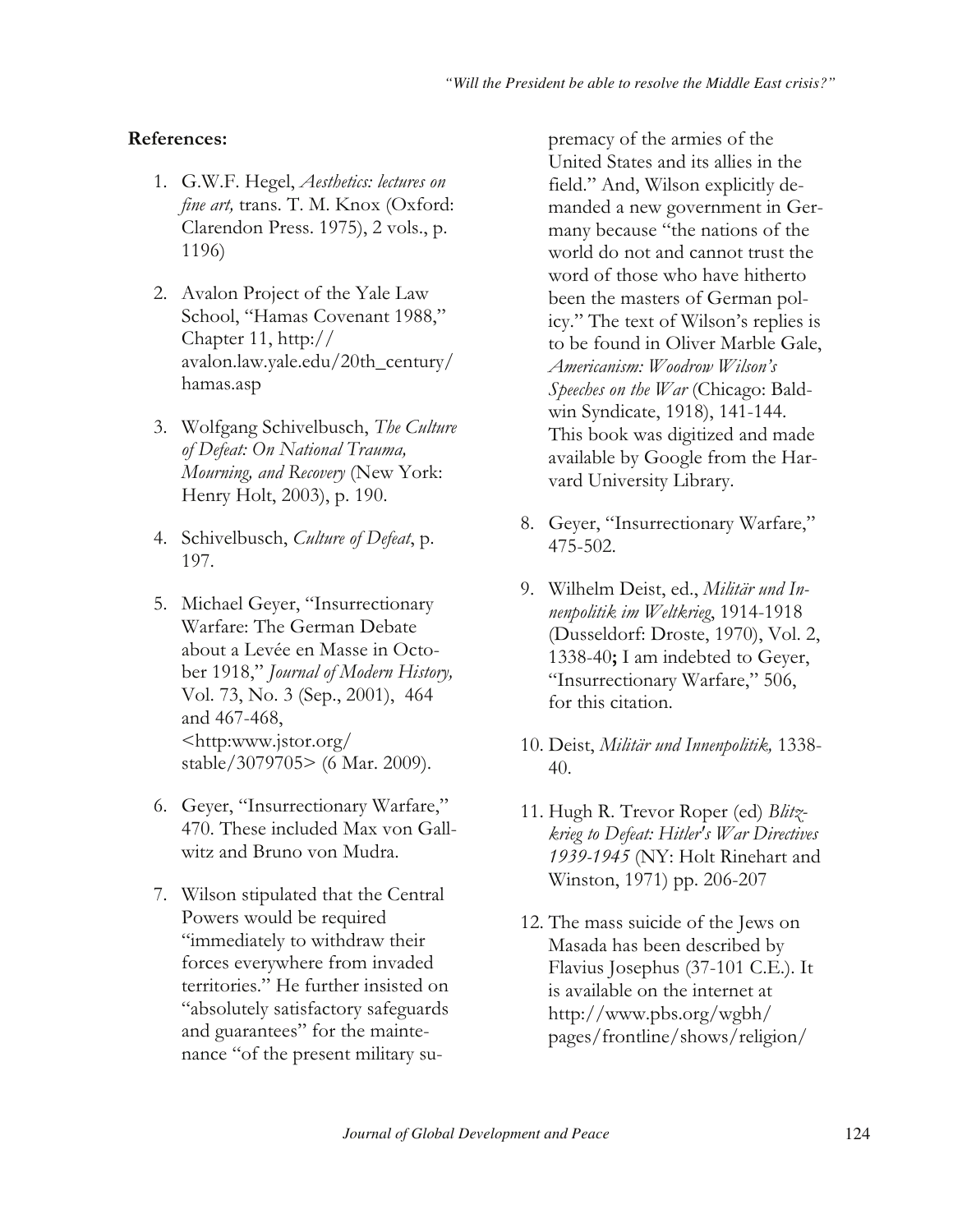## References:

- 1. G.W.F. Hegel, Aesthetics: lectures on fine art, trans. T. M. Knox (Oxford: Clarendon Press. 1975), 2 vols., p. 1196)
- 2. Avalon Project of the Yale Law School, "Hamas Covenant 1988," Chapter 11, http:// avalon.law.yale.edu/20th\_century/ hamas.asp
- 3. Wolfgang Schivelbusch, The Culture of Defeat: On National Trauma, Mourning, and Recovery (New York: Henry Holt, 2003), p. 190.
- 4. Schivelbusch, Culture of Defeat, p. 197.
- 5. Michael Geyer, "Insurrectionary Warfare: The German Debate about a Levée en Masse in October 1918," Journal of Modern History, Vol. 73, No. 3 (Sep., 2001), 464 and 467-468,  $\langle$ http:www.jstor.org/ stable/3079705> (6 Mar. 2009).
- 6. Geyer, "Insurrectionary Warfare," 470. These included Max von Gallwitz and Bruno von Mudra.
- 7. Wilson stipulated that the Central Powers would be required "immediately to withdraw their forces everywhere from invaded territories." He further insisted on "absolutely satisfactory safeguards and guarantees" for the maintenance "of the present military su-

premacy of the armies of the United States and its allies in the field." And, Wilson explicitly demanded a new government in Germany because "the nations of the world do not and cannot trust the word of those who have hitherto been the masters of German policy." The text of Wilson's replies is to be found in Oliver Marble Gale. Americanism: Woodrow Wilson's *Speeches on the War* (Chicago: Baldwin Syndicate, 1918), 141-144. This book was digitized and made available by Google from the Harvard University Library.

- 8. Geyer, "Insurrectionary Warfare," 475-502.
- 9. Wilhelm Deist, ed., Militär und Innenpolitik im Weltkrieg, 1914-1918 (Dusseldorf: Droste, 1970), Vol. 2, 1338-40; I am indebted to Geyer, "Insurrectionary Warfare," 506, for this citation.
- 10. Deist, Militär und Innenpolitik, 1338-40.
- 11. Hugh R. Trevor Roper (ed) Blitzkrieg to Defeat: Hitler's War Directives 1939-1945 (NY: Holt Rinehart and Winston, 1971) pp. 206-207
- 12. The mass suicide of the Jews on Masada has been described by Flavius Josephus  $(37-101 \text{ C.E.})$ . It is available on the internet at  $\frac{http://www.pbs.org/wgbh/}{http://www.pbs.org/wgbh/}$ pages/frontline/shows/religion/